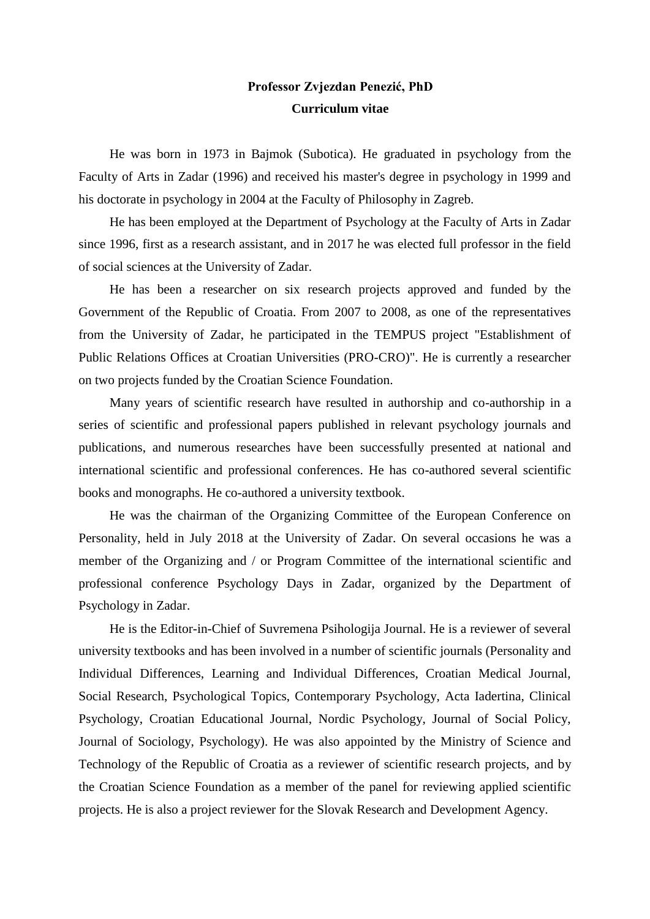## **Professor Zvjezdan Penezić, PhD Curriculum vitae**

He was born in 1973 in Bajmok (Subotica). He graduated in psychology from the Faculty of Arts in Zadar (1996) and received his master's degree in psychology in 1999 and his doctorate in psychology in 2004 at the Faculty of Philosophy in Zagreb.

He has been employed at the Department of Psychology at the Faculty of Arts in Zadar since 1996, first as a research assistant, and in 2017 he was elected full professor in the field of social sciences at the University of Zadar.

He has been a researcher on six research projects approved and funded by the Government of the Republic of Croatia. From 2007 to 2008, as one of the representatives from the University of Zadar, he participated in the TEMPUS project "Establishment of Public Relations Offices at Croatian Universities (PRO-CRO)". He is currently a researcher on two projects funded by the Croatian Science Foundation.

Many years of scientific research have resulted in authorship and co-authorship in a series of scientific and professional papers published in relevant psychology journals and publications, and numerous researches have been successfully presented at national and international scientific and professional conferences. He has co-authored several scientific books and monographs. He co-authored a university textbook.

He was the chairman of the Organizing Committee of the European Conference on Personality, held in July 2018 at the University of Zadar. On several occasions he was a member of the Organizing and / or Program Committee of the international scientific and professional conference Psychology Days in Zadar, organized by the Department of Psychology in Zadar.

He is the Editor-in-Chief of Suvremena Psihologija Journal. He is a reviewer of several university textbooks and has been involved in a number of scientific journals (Personality and Individual Differences, Learning and Individual Differences, Croatian Medical Journal, Social Research, Psychological Topics, Contemporary Psychology, Acta Iadertina, Clinical Psychology, Croatian Educational Journal, Nordic Psychology, Journal of Social Policy, Journal of Sociology, Psychology). He was also appointed by the Ministry of Science and Technology of the Republic of Croatia as a reviewer of scientific research projects, and by the Croatian Science Foundation as a member of the panel for reviewing applied scientific projects. He is also a project reviewer for the Slovak Research and Development Agency.